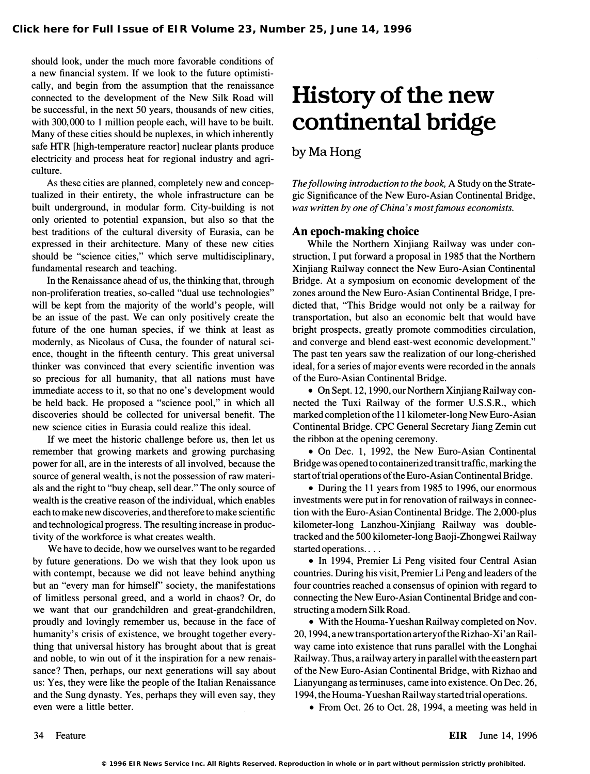should look, under the much more favorable conditions of a new financial system. If we look to the future optimistically, and begin from the assumption that the renaissance connected to the development of the New Silk Road will be successful, in the next 50 years, thousands of new cities, with 300,000 to I million people each, will have to be built. Many of these cities should be nuplexes, in which inherently safe HTR [high-temperature reactor] nuclear plants produce electricity and process heat for regional industry and agriculture.

As these cities are planned, completely new and conceptualized in their entirety, the whole infrastructure can be built underground, in modular form. City-building is not only oriented to potential expansion, but also so that the best traditions of the cultural diversity of Eurasia, can be expressed in their architecture. Many of these new cities should be "science cities," which serve multidisciplinary, fundamental research and teaching.

In the Renaissance ahead of us, the thinking that, through non-proliferation treaties, so-called "dual use technologies" will be kept from the majority of the world's people, will be an issue of the past. We can only positively create the future of the one human species, if we think at least as modernly, as Nicolaus of Cusa, the founder of natural science, thought in the fifteenth century. This great universal thinker was convinced that every scientific invention was so precious for all humanity, that all nations must have immediate access to it, so that no one's development would be held back. He proposed a "science pool," in which all discoveries should be collected for universal benefit. The new science cities in Eurasia could realize this ideal.

If we meet the historic challenge before us, then let us remember that growing markets and growing purchasing power for all, are in the interests of all involved, because the source of general wealth, is not the possession of raw materials and the right to "buy cheap, sell dear." The only source of wealth is the creative reason of the individual, which enables each to make new discoveries, and therefore to make scientific and technological progress. The resulting increase in productivity of the workforce is what creates wealth.

We have to decide, how we ourselves want to be regarded by future generations. Do we wish that they look upon us with contempt, because we did not leave behind anything but an "every man for himself' society, the manifestations of limitless personal greed, and a world in chaos? Or, do we want that our grandchildren and great-grandchildren, proudly and lovingly remember us, because in the face of humanity's crisis of existence, we brought together everything that universal history has brought about that is great and noble, to win out of it the inspiration for a new renaissance? Then, perhaps, our next generations will say about us: Yes, they were like the people of the Italian Renaissance and the Sung dynasty. Yes, perhaps they will even say, they even were a little better.

## History of the new continental bridge

## by Ma Hong

The following introduction to the book, A Study on the Strategic Significance of the New Euro-Asian Continental Bridge, was written by one of China's most famous economists.

## An epoch-making choice

While the Northern Xinjiang Railway was under construction, I put forward a proposal in 1985 that the Northern Xinjiang Railway connect the New Euro-Asian Continental Bridge. At a symposium on economic development of the zones around the New Euro-Asian Continental Bridge, I predicted that, "This Bridge would not only be a railway for transportation, but also an economic belt that would have bright prospects, greatly promote commodities circulation, and converge and blend east-west economic development." The past ten years saw the realization of our long-cherished ideal, for a series of major events were recorded in the annals of the Euro-Asian Continental Bridge.

• On Sept. 12, 1990, our Northern Xinjiang Railway connected the Tuxi Railway of the former U.S.S.R., which marked completion of the 11 kilometer-long New Euro-Asian Continental Bridge. CPC General Secretary Jiang Zemin cut the ribbon at the opening ceremony.

• On Dec. 1, 1992, the New Euro-Asian Continental Bridge was opened to containerized transit traffic, marking the start of trial operations of the Euro-Asian Continental Bridge.

• During the 11 years from 1985 to 1996, our enormous investments were put in for renovation of railways in connection with the Euro-Asian Continental Bridge. The 2,OOO-plus kilometer-long Lanzhou-Xinjiang Railway was doubletracked and the 500 kilometer-long Baoji-Zhongwei Railway started operations....

• In 1994, Premier Li Peng visited four Central Asian countries. During his visit, Premier Li Peng and leaders of the four countries reached a consensus of opinion with regard to connecting the New Euro-Asian Continental Bridge and constructing a modem Silk Road.

• With the Houma-Yueshan Railway completed on Nov. 20,1994,anewtransportationarteryof theRizhao-Xi'anRailway came into existence that runs parallel with the Longhai Railway. Thus, a railway artery in parallel with the eastern part of the New Euro-Asian Continental Bridge, with Rizhao and Lianyungang as terminuses, came into existence. On Dec. 26, 1994, the Houma-Yueshan Railway started trial operations.

• From Oct. 26 to Oct. 28, 1994, a meeting was held in